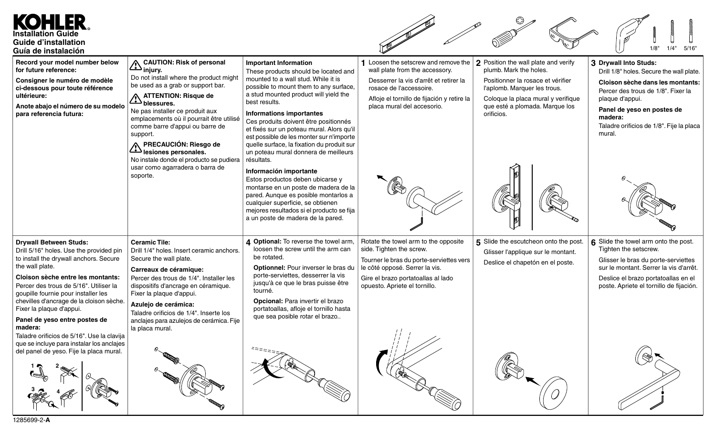KOHLER **Installation Guide Guide d'installation**  $1/4"$ **Guía de instalación Record your model number below 1** Loosen the setscrew and remove the **2** Position the wall plate and verify **CAUTION: Risk of personal Important Information 3 Drywall Into Studs:** wall plate from the accessory. **for future reference:** plumb. Mark the holes. **injury.** These products should be located and Drill 1/8" holes. Secure the wall plate. Do not install where the product might mounted to a wall stud. While it is **Consigner le numéro de modèle** Desserrer la vis d'arrêt et retirer la Positionner la rosace et vérifier **Cloison sèche dans les montants:** be used as a grab or support bar. possible to mount them to any surface, **ci-dessous pour toute référence** rosace de l'accessoire. l'aplomb. Marquer les trous. Percer des trous de 1/8". Fixer la a stud mounted product will yield the **ultérieure: ATTENTION: Risque de** Afloje el tornillo de fijación y retire la Coloque la placa mural y verifique plaque d'appui. best results. **blessures. Anote abajo el número de su modelo** placa mural del accesorio. que esté a plomada. Marque los **Panel de yeso en postes de** Ne pas installer ce produit aux **para referencia futura: Informations importantes** orificios. emplacements où il pourrait être utilisé **madera:** Ces produits doivent être positionnés Taladre orificios de 1/8". Fije la placa comme barre d'appui ou barre de et fixés sur un poteau mural. Alors qu'il mural. support. est possible de les monter sur n'importe quelle surface, la fixation du produit sur **PRECAUCIÓN: Riesgo de** un poteau mural donnera de meilleurs **lesiones personales.** No instale donde el producto se pudiera résultats. usar como agarradera o barra de **Información importante** soporte. Estos productos deben ubicarse y montarse en un poste de madera de la pared. Aunque es posible montarlos a cualquier superficie, se obtienen mejores resultados si el producto se fija a un poste de madera de la pared. **4 Optional:** To reverse the towel arm, Rotate the towel arm to the opposite **5** Slide the escutcheon onto the post. **6** Slide the towel arm onto the post. **Drywall Between Studs: Ceramic Tile:** loosen the screw until the arm can side. Tighten the screw. Tighten the setscrew. Drill 5/16" holes. Use the provided pin Drill 1/4" holes. Insert ceramic anchors. Glisser l'applique sur le montant. be rotated. to install the drywall anchors. Secure Secure the wall plate. Tourner le bras du porte-serviettes vers Glisser le bras du porte-serviettes Deslice el chapetón en el poste. the wall plate. **Optionnel:** Pour inverser le bras du le côté opposé. Serrer la vis. sur le montant. Serrer la vis d'arrêt. **Carreaux de céramique:** porte-serviettes, desserrer la vis **Cloison sèche entre les montants:** Percer des trous de 1/4". Installer les Gire el brazo portatoallas al lado Deslice el brazo portatoallas en el jusqu'à ce que le bras puisse être opuesto. Apriete el tornillo. Percer des trous de 5/16". Utiliser la dispositifs d'ancrage en céramique. poste. Apriete el tornillo de fijación. tourné. Fixer la plaque d'appui. goupille fournie pour installer les chevilles d'ancrage de la cloison sèche. **Opcional:** Para invertir el brazo **Azulejo de cerámica:** Fixer la plaque d'appui. portatoallas, afloje el tornillo hasta Taladre orificios de 1/4". Inserte los que sea posible rotar el brazo.. **Panel de yeso entre postes de** anclajes para azulejos de cerámica. Fije **madera:** la placa mural. Taladre orificios de 5/16". Use la clavija que se incluye para instalar los anclajes del panel de yeso. Fije la placa mural. **1 2**  $\frac{3}{\sqrt{2}}$  4